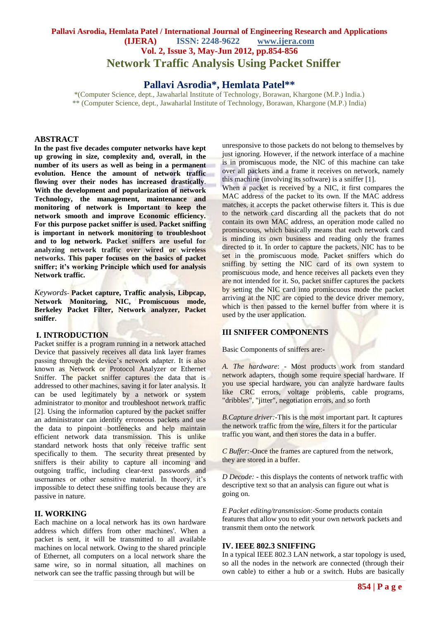# **Pallavi Asrodia, Hemlata Patel / International Journal of Engineering Research and Applications (IJERA) ISSN: 2248-9622 www.ijera.com Vol. 2, Issue 3, May-Jun 2012, pp.854-856 Network Traffic Analysis Using Packet Sniffer**

# **Pallavi Asrodia\*, Hemlata Patel\*\***

\*(Computer Science, dept., Jawaharlal Institute of Technology, Borawan, Khargone (M.P.) India.) \*\* (Computer Science, dept., Jawaharlal Institute of Technology, Borawan, Khargone (M.P.) India)

## **ABSTRACT**

**In the past five decades computer networks have kept up growing in size, complexity and, overall, in the number of its users as well as being in a permanent evolution. Hence the amount of network traffic flowing over their nodes has increased drastically**. **With the development and popularization of network Technology, the management, maintenance and monitoring of network is Important to keep the network smooth and improve Economic efficiency. For this purpose packet sniffer is used. Packet sniffing is important in network monitoring to troubleshoot and to log network. Packet sniffers are useful for analyzing network traffic over wired or wireless networks. This paper focuses on the basics of packet sniffer; it's working Principle which used for analysis Network traffic.**

*Keywords-* **Packet capture, Traffic analysis, Libpcap, Network Monitoring, NIC, Promiscuous mode, Berkeley Packet Filter, Network analyzer, Packet sniffer.**

## **I. INTRODUCTION**

Packet sniffer is a program running in a network attached Device that passively receives all data link layer frames passing through the device's network adapter. It is also known as Network or Protocol Analyzer or Ethernet Sniffer. The packet sniffer captures the data that is addressed to other machines, saving it for later analysis. It can be used legitimately by a network or system administrator to monitor and troubleshoot network traffic [2]. Using the information captured by the packet sniffer an administrator can identify erroneous packets and use the data to pinpoint bottlenecks and help maintain efficient network data transmission. This is unlike standard network hosts that only receive traffic sent specifically to them. The security threat presented by sniffers is their ability to capture all incoming and outgoing traffic, including clear-text passwords and usernames or other sensitive material. In theory, it's impossible to detect these sniffing tools because they are passive in nature.

## **II. WORKING**

Each machine on a local network has its own hardware address which differs from other machines'. When a packet is sent, it will be transmitted to all available machines on local network. Owing to the shared principle of Ethernet, all computers on a local network share the same wire, so in normal situation, all machines on network can see the traffic passing through but will be

unresponsive to those packets do not belong to themselves by just ignoring. However, if the network interface of a machine is in promiscuous mode, the NIC of this machine can take over all packets and a frame it receives on network, namely this machine (involving its software) is a sniffer [1].

When a packet is received by a NIC, it first compares the MAC address of the packet to its own. If the MAC address matches, it accepts the packet otherwise filters it. This is due to the network card discarding all the packets that do not contain its own MAC address, an operation mode called no promiscuous, which basically means that each network card is minding its own business and reading only the frames directed to it. In order to capture the packets, NIC has to be set in the promiscuous mode. Packet sniffers which do sniffing by setting the NIC card of its own system to promiscuous mode, and hence receives all packets even they are not intended for it. So, packet sniffer captures the packets by setting the NIC card into promiscuous mode the packet arriving at the NIC are copied to the device driver memory, which is then passed to the kernel buffer from where it is used by the user application.

## **III SNIFFER COMPONENTS**

Basic Components of sniffers are:-

*A. The hardware*: - Most products work from standard network adapters, though some require special hardware. If you use special hardware, you can analyze hardware faults like CRC errors, voltage problems, cable programs, "dribbles", "jitter", negotiation errors, and so forth

*B.Capture driver:-*This is the most important part. It captures the network traffic from the wire, filters it for the particular traffic you want, and then stores the data in a buffer.

*C Buffer:*-Once the frames are captured from the network, they are stored in a buffer.

*D Decode: -* this displays the contents of network traffic with descriptive text so that an analysis can figure out what is going on.

*E Packet editing/transmission*:-Some products contain features that allow you to edit your own network packets and transmit them onto the network

### **IV. IEEE 802.3 SNIFFING**

In a typical IEEE 802.3 LAN network, a star topology is used, so all the nodes in the network are connected (through their own cable) to either a hub or a switch. Hubs are basically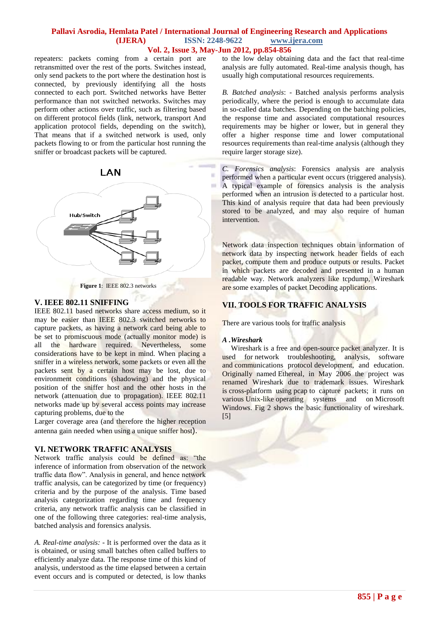## **Pallavi Asrodia, Hemlata Patel / International Journal of Engineering Research and Applications (IJERA) ISSN: 2248-9622 www.ijera.com Vol. 2, Issue 3, May-Jun 2012, pp.854-856**

repeaters: packets coming from a certain port are retransmitted over the rest of the ports. Switches instead, only send packets to the port where the destination host is connected, by previously identifying all the hosts connected to each port. Switched networks have Better performance than not switched networks. Switches may perform other actions over traffic, such as filtering based on different protocol fields (link, network, transport And application protocol fields, depending on the switch), That means that if a switched network is used, only packets flowing to or from the particular host running the sniffer or broadcast packets will be captured.





## **V. IEEE 802.11 SNIFFING**

IEEE 802.11 based networks share access medium, so it may be easier than IEEE 802.3 switched networks to capture packets, as having a network card being able to be set to promiscuous mode (actually monitor mode) is all the hardware required. Nevertheless, some considerations have to be kept in mind. When placing a sniffer in a wireless network, some packets or even all the packets sent by a certain host may be lost, due to environment conditions (shadowing) and the physical position of the sniffer host and the other hosts in the network (attenuation due to propagation). IEEE 802.11 networks made up by several access points may increase capturing problems, due to the

Larger coverage area (and therefore the higher reception antenna gain needed when using a unique sniffer host).

## **VI. NETWORK TRAFFIC ANALYSIS**

Network traffic analysis could be defined as: "the inference of information from observation of the network traffic data flow". Analysis in general, and hence network traffic analysis, can be categorized by time (or frequency) criteria and by the purpose of the analysis. Time based analysis categorization regarding time and frequency criteria, any network traffic analysis can be classified in one of the following three categories: real-time analysis, batched analysis and forensics analysis.

*A. Real-time analysis: -* It is performed over the data as it is obtained, or using small batches often called buffers to efficiently analyze data. The response time of this kind of analysis, understood as the time elapsed between a certain event occurs and is computed or detected, is low thanks

to the low delay obtaining data and the fact that real-time analysis are fully automated. Real-time analysis though, has usually high computational resources requirements.

*B. Batched analysis*: - Batched analysis performs analysis periodically, where the period is enough to accumulate data in so-called data batches. Depending on the batching policies, the response time and associated computational resources requirements may be higher or lower, but in general they offer a higher response time and lower computational resources requirements than real-time analysis (although they require larger storage size).

*C. Forensics analysis*: Forensics analysis are analysis performed when a particular event occurs (triggered analysis). A typical example of forensics analysis is the analysis performed when an intrusion is detected to a particular host. This kind of analysis require that data had been previously stored to be analyzed, and may also require of human intervention.

Network data inspection techniques obtain information of network data by inspecting network header fields of each packet, compute them and produce outputs or results. Packet in which packets are decoded and presented in a human readable way. Network analyzers like tcpdump, Wireshark are some examples of packet Decoding applications.

## **VII. TOOLS FOR TRAFFIC ANALYSIS**

There are various tools for traffic analysis

### *A .Wireshark*

Wireshark is a free and open-source packet analyzer. It is used for network troubleshooting, analysis, software and communications protocol development, and education. Originally named Ethereal, in May 2006 the project was renamed Wireshark due to trademark issues. Wireshark is cross-platform using pcap to capture packets; it runs on various Unix-like operating systems and on Microsoft Windows. Fig 2 shows the basic functionality of wireshark. [5]